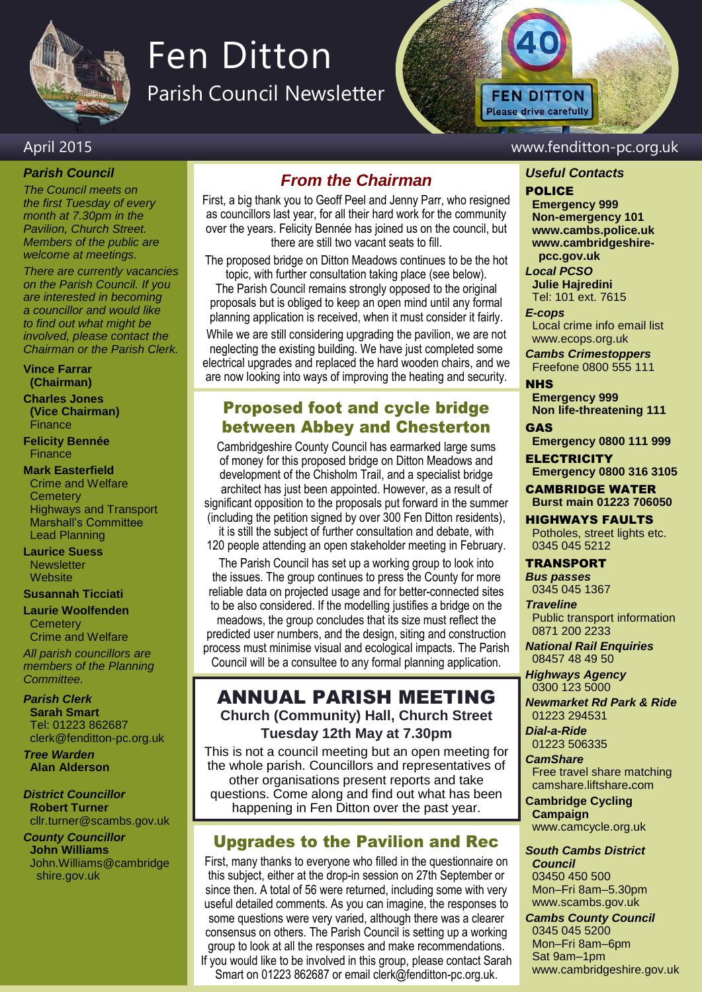

# Fen Ditton

Parish Council Newsletter

## April 2015 www.fenditton-pc.org.uk

*Parish Council*

*The Council meets on the first Tuesday of every month at 7.30pm in the Pavilion, Church Street. Members of the public are welcome at meetings.*

*There are currently vacancies on the Parish Council. If you are interested in becoming a councillor and would like to find out what might be involved, please contact the Chairman or the Parish Clerk.*

**Vince Farrar (Chairman)**

**Charles Jones (Vice Chairman)** Finance

**Felicity Bennée Finance** 

### **Mark Easterfield**

Crime and Welfare **Cemetery** Highways and Transport Marshall's Committee Lead Planning

### **Laurice Suess Newsletter**

**Website** 

## **Susannah Ticciati**

**Laurie Woolfenden**

**Cemetery** Crime and Welfare

*All parish councillors are members of the Planning Committee.*

*Parish Clerk* **Sarah Smart** Tel: 01223 862687 clerk@fenditton-pc.org.uk

*Tree Warden* **Alan Alderson**

### *District Councillor* **Robert Turner** cllr.turner@scambs.gov.uk

*County Councillor* **John Williams** John.Williams@cambridge shire.gov.uk

## *From the Chairman*

First, a big thank you to Geoff Peel and Jenny Parr, who resigned as councillors last year, for all their hard work for the community over the years. Felicity Bennée has joined us on the council, but there are still two vacant seats to fill.

The proposed bridge on Ditton Meadows continues to be the hot topic, with further consultation taking place (see below). The Parish Council remains strongly opposed to the original proposals but is obliged to keep an open mind until any formal planning application is received, when it must consider it fairly.

While we are still considering upgrading the pavilion, we are not neglecting the existing building. We have just completed some electrical upgrades and replaced the hard wooden chairs, and we are now looking into ways of improving the heating and security.

## Proposed foot and cycle bridge between Abbey and Chesterton

Cambridgeshire County Council has earmarked large sums of money for this proposed bridge on Ditton Meadows and development of the Chisholm Trail, and a specialist bridge architect has just been appointed. However, as a result of significant opposition to the proposals put forward in the summer (including the petition signed by over 300 Fen Ditton residents),

it is still the subject of further consultation and debate, with 120 people attending an open stakeholder meeting in February.

The Parish Council has set up a working group to look into the issues. The group continues to press the County for more reliable data on projected usage and for better-connected sites to be also considered. If the modelling justifies a bridge on the meadows, the group concludes that its size must reflect the predicted user numbers, and the design, siting and construction process must minimise visual and ecological impacts. The Parish Council will be a consultee to any formal planning application.

## ANNUAL PARISH MEETING **Church (Community) Hall, Church Street Tuesday 12th May at 7.30pm**

This is not a council meeting but an open meeting for the whole parish. Councillors and representatives of other organisations present reports and take questions. Come along and find out what has been happening in Fen Ditton over the past year.

## Upgrades to the Pavilion and Rec

First, many thanks to everyone who filled in the questionnaire on this subject, either at the drop-in session on 27th September or since then. A total of 56 were returned, including some with very useful detailed comments. As you can imagine, the responses to some questions were very varied, although there was a clearer consensus on others. The Parish Council is setting up a working group to look at all the responses and make recommendations. If you would like to be involved in this group, please contact Sarah Smart on 01223 862687 or email clerk@fenditton-pc.org.uk.

## *Useful Contacts*

## POLICE

**FEN DITTON Please drive carefully** 

> **Emergency 999 Non-emergency 101 www.cambs.police.uk www.cambridgeshire pcc.gov.uk**

*Local PCSO*  **Julie Hajredini** Tel: 101 ext. 7615

### *E-cops*

Local crime info email list www.ecops.org.uk

*Cambs Crimestoppers* Freefone 0800 555 111

NHS

**Emergency 999 Non life-threatening 111**

GAS **Emergency 0800 111 999**

**ELECTRICITY Emergency 0800 316 3105**

CAMBRIDGE WATER **Burst main 01223 706050**

HIGHWAYS FAULTS Potholes, street lights etc. 0345 045 5212

## TRANSPORT

*Bus passes* 0345 045 1367

*Traveline* Public transport information 0871 200 2233

*National Rail Enquiries* 08457 48 49 50

*Highways Agency* 0300 123 5000

*Newmarket Rd Park & Ride* 01223 294531

*Dial-a-Ride* 01223 506335

*CamShare*

Free travel share matching camshare.liftshare**.**com

**Cambridge Cycling Campaign** www.camcycle.org.uk

*South Cambs District Council* 03450 450 500 Mon–Fri 8am–5.30pm www.scambs.gov.uk

*Cambs County Council* 0345 045 5200 Mon–Fri 8am–6pm Sat 9am–1pm www.cambridgeshire.gov.uk